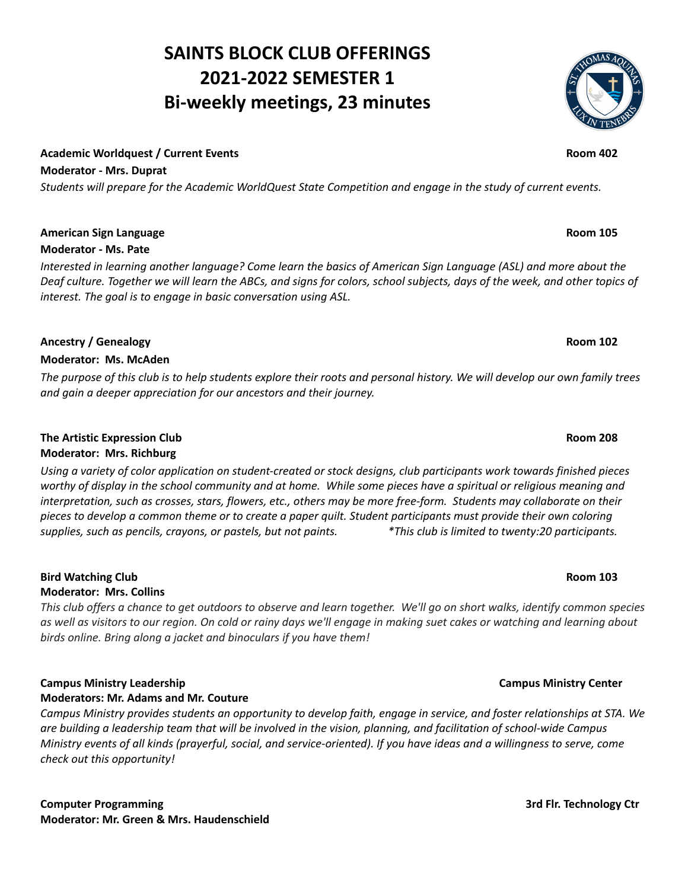# **SAINTS BLOCK CLUB OFFERINGS 2021-2022 SEMESTER 1 Bi-weekly meetings, 23 minutes**

#### **Academic Worldquest / Current Events Room 402**

**Moderator - Mrs. Duprat**

Students will prepare for the Academic WorldQuest State Competition and engage in the study of current events.

#### **American Sign Language Room 105**

#### **Moderator - Ms. Pate**

Interested in learning another language? Come learn the basics of American Sign Language (ASL) and more about the Deaf culture. Together we will learn the ABCs, and signs for colors, school subjects, days of the week, and other topics of *interest. The goal is to engage in basic conversation using ASL.*

#### **Ancestry / Genealogy Room 102**

#### **Moderator: Ms. McAden**

The purpose of this club is to help students explore their roots and personal history. We will develop our own family trees *and gain a deeper appreciation for our ancestors and their journey.*

### **The Artistic Expression Club Room 208 Moderator: Mrs. Richburg**

Using a variety of color application on student-created or stock designs, club participants work towards finished pieces worthy of display in the school community and at home. While some pieces have a spiritual or religious meaning and interpretation, such as crosses, stars, flowers, etc., others may be more free-form. Students may collaborate on their pieces to develop a common theme or to create a paper quilt. Student participants must provide their own coloring supplies, such as pencils, crayons, or pastels, but not paints. This club is limited to twenty:20 participants.

# **Bird Watching Club Room 103**

### **Moderator: Mrs. Collins**

This club offers a chance to get outdoors to observe and learn together. We'll go on short walks, identify common species as well as visitors to our region. On cold or rainy days we'll engage in making suet cakes or watching and learning about *birds online. Bring along a jacket and binoculars if you have them!*

### **Campus Ministry Leadership Campus Ministry Center**

#### **Moderators: Mr. Adams and Mr. Couture**

Campus Ministry provides students an opportunity to develop faith, engage in service, and foster relationships at STA. We are building a leadership team that will be involved in the vision, planning, and facilitation of school-wide Campus Ministry events of all kinds (prayerful, social, and service-oriented). If you have ideas and a willingness to serve, come *check out this opportunity!*

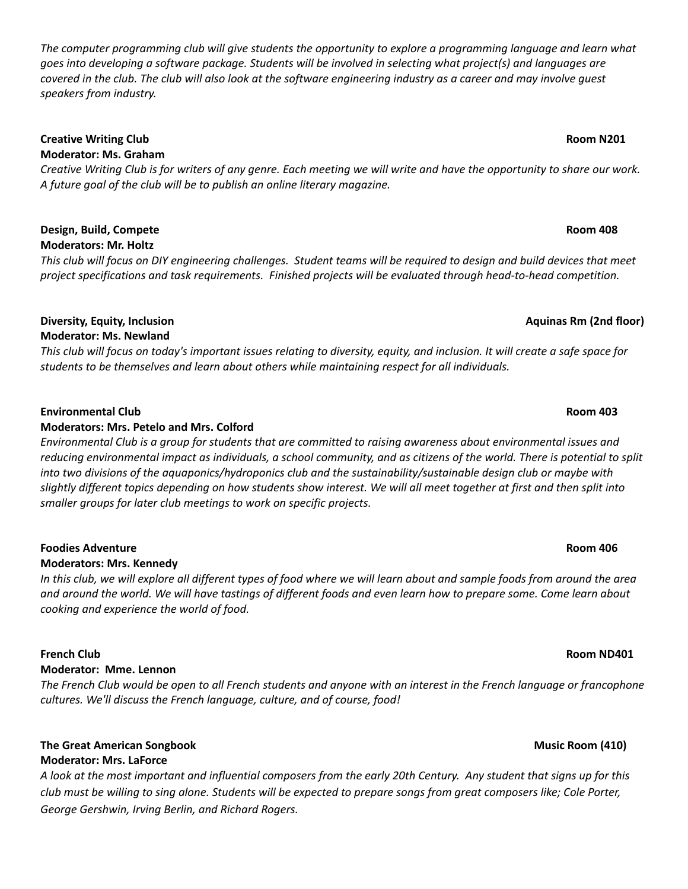The computer programming club will give students the opportunity to explore a programming language and learn what goes into developing a software package. Students will be involved in selecting what project(s) and languages are covered in the club. The club will also look at the software engineering industry as a career and may involve guest *speakers from industry.*

# **Creative Writing Club Room N201**

# **Moderator: Ms. Graham**

Creative Writing Club is for writers of any genre. Each meeting we will write and have the opportunity to share our work. *A future goal of the club will be to publish an online literary magazine.*

### **Design, Build, Compete Room 408 Moderators: Mr. Holtz**

This club will focus on DIY engineering challenges. Student teams will be required to design and build devices that meet *project specifications and task requirements. Finished projects will be evaluated through head-to-head competition.*

### **Diversity, Equity, Inclusion Aquinas Rm (2nd floor) Moderator: Ms. Newland**

This club will focus on today's important issues relating to diversity, equity, and inclusion. It will create a safe space for *students to be themselves and learn about others while maintaining respect for all individuals.*

### **Environmental Club Room 403**

### **Moderators: Mrs. Petelo and Mrs. Colford**

Environmental Club is a group for students that are committed to raising awareness about environmental issues and reducing environmental impact as individuals, a school community, and as citizens of the world. There is potential to split *into two divisions of the aquaponics/hydroponics club and the sustainability/sustainable design club or maybe with* slightly different topics depending on how students show interest. We will all meet together at first and then split into *smaller groups for later club meetings to work on specific projects.*

### **Foodies Adventure Room 406**

### **Moderators: Mrs. Kennedy**

In this club, we will explore all different types of food where we will learn about and sample foods from around the area and around the world. We will have tastings of different foods and even learn how to prepare some. Come learn about *cooking and experience the world of food.*

### **Moderator: Mme. Lennon**

The French Club would be open to all French students and anyone with an interest in the French language or francophone *cultures. We'll discuss the French language, culture, and of course, food!*

# **The Great American Songbook Music Room (410)**

### **Moderator: Mrs. LaForce**

A look at the most important and influential composers from the early 20th Century. Any student that signs up for this club must be willing to sing alone. Students will be expected to prepare songs from great composers like; Cole Porter, *George Gershwin, Irving Berlin, and Richard Rogers.*

# **French Club Room ND401**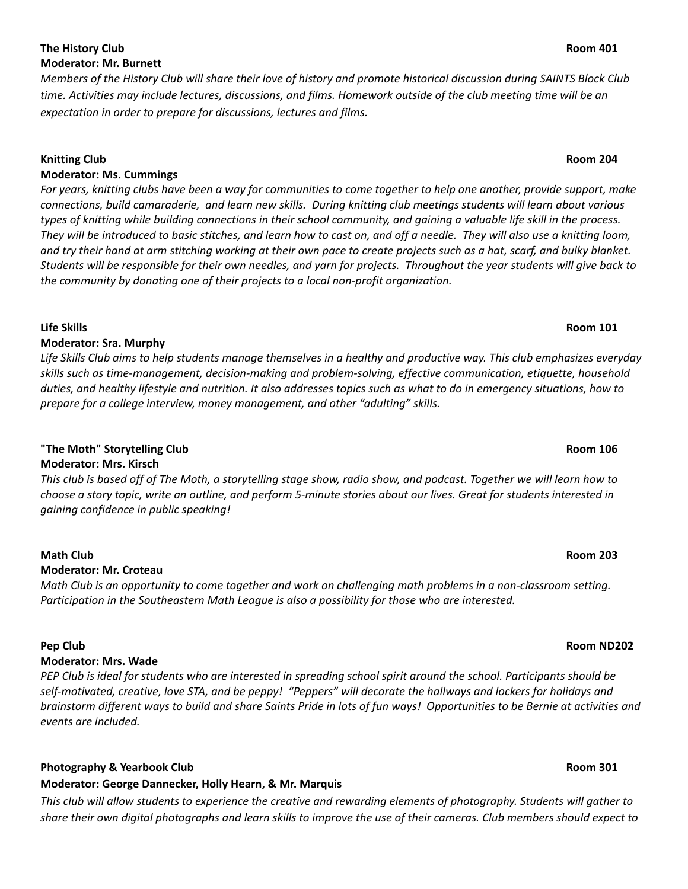### **Pep Club Room ND202**

### **The History Club Room 401 Moderator: Mr. Burnett**

Members of the History Club will share their love of history and promote historical discussion during SAINTS Block Club time. Activities may include lectures, discussions, and films. Homework outside of the club meeting time will be an *expectation in order to prepare for discussions, lectures and films.*

### **Knitting Club Room 204**

### **Moderator: Ms. Cummings**

For years, knitting clubs have been a way for communities to come together to help one another, provide support, make connections, build camaraderie, and learn new skills. During knitting club meetings students will learn about various types of knitting while building connections in their school community, and gaining a valuable life skill in the process. They will be introduced to basic stitches, and learn how to cast on, and off a needle. They will also use a knitting loom, and try their hand at arm stitching working at their own pace to create projects such as a hat, scarf, and bulky blanket. Students will be responsible for their own needles, and yarn for projects. Throughout the year students will give back to *the community by donating one of their projects to a local non-profit organization.*

### **Life Skills Room 101**

## **Moderator: Sra. Murphy**

Life Skills Club aims to help students manage themselves in a healthy and productive way. This club emphasizes everyday *skills such as time-management, decision-making and problem-solving, effective communication, etiquette, household* duties, and healthy lifestyle and nutrition. It also addresses topics such as what to do in emergency situations, how to *prepare for a college interview, money management, and other "adulting" skills.*

# **"The Moth" Storytelling Club Room 106**

**Moderator: Mrs. Kirsch**

This club is based off of The Moth, a storytelling stage show, radio show, and podcast. Together we will learn how to choose a story topic, write an outline, and perform 5-minute stories about our lives. Great for students interested in *gaining confidence in public speaking!*

# **Math Club Room 203**

# **Moderator: Mr. Croteau**

Math Club is an opportunity to come together and work on challenging math problems in a non-classroom setting. *Participation in the Southeastern Math League is also a possibility for those who are interested.*

### **Moderator: Mrs. Wade**

PEP Club is ideal for students who are interested in spreading school spirit around the school. Participants should be self-motivated, creative, love STA, and be peppy! "Peppers" will decorate the hallways and lockers for holidays and brainstorm different ways to build and share Saints Pride in lots of fun ways! Opportunities to be Bernie at activities and *events are included.*

### **Photography & Yearbook Club Room 301**

# **Moderator: George Dannecker, Holly Hearn, & Mr. Marquis**

This club will allow students to experience the creative and rewarding elements of photography. Students will gather to share their own digital photographs and learn skills to improve the use of their cameras. Club members should expect to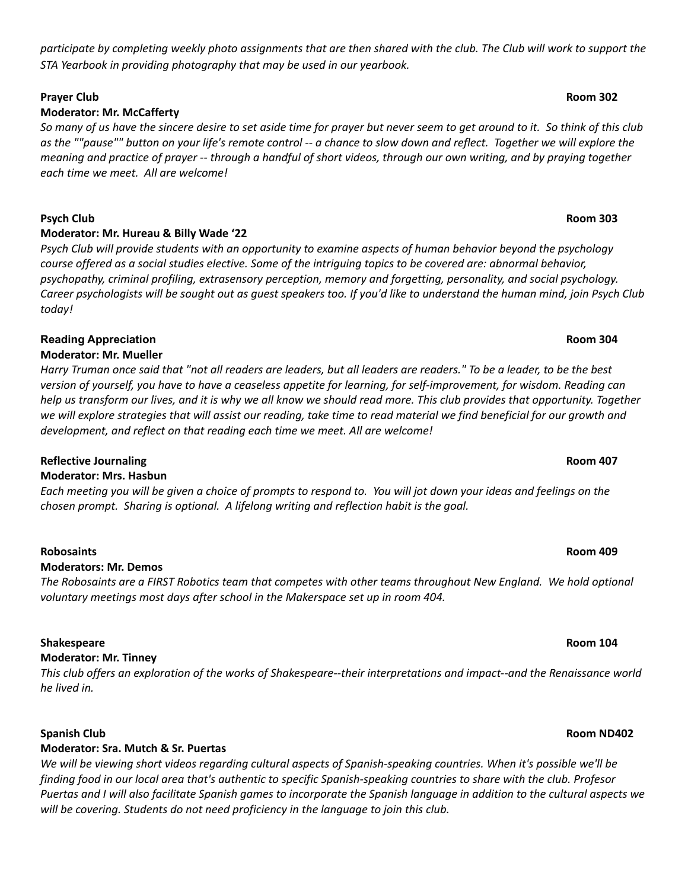# participate by completing weekly photo assignments that are then shared with the club. The Club will work to support the *STA Yearbook in providing photography that may be used in our yearbook.*

# **Prayer Club Room 302**

# **Moderator: Mr. McCafferty**

So many of us have the sincere desire to set aside time for prayer but never seem to get around to it. So think of this club as the ""pause"" button on your life's remote control -- a chance to slow down and reflect. Together we will explore the meaning and practice of prayer -- through a handful of short videos, through our own writing, and by praying together *each time we meet. All are welcome!*

### **Psych Club Room 303**

### **Moderator: Mr. Hureau & Billy Wade '22**

Psych Club will provide students with an opportunity to examine aspects of human behavior beyond the psychology course offered as a social studies elective. Some of the intriguing topics to be covered are: abnormal behavior, *psychopathy, criminal profiling, extrasensory perception, memory and forgetting, personality, and social psychology.* Career psychologists will be sought out as guest speakers too. If you'd like to understand the human mind, join Psych Club *today!*

#### **Reading Appreciation Room 304 Moderator: Mr. Mueller**

Harry Truman once said that "not all readers are leaders, but all leaders are readers." To be a leader, to be the best version of yourself, you have to have a ceaseless appetite for learning, for self-improvement, for wisdom. Reading can help us transform our lives, and it is why we all know we should read more. This club provides that opportunity. Together we will explore strategies that will assist our reading, take time to read material we find beneficial for our growth and *development, and reflect on that reading each time we meet. All are welcome!*

### **Reflective Journaling Room 407**

### **Moderator: Mrs. Hasbun**

Each meeting you will be given a choice of prompts to respond to. You will jot down your ideas and feelings on the *chosen prompt. Sharing is optional. A lifelong writing and reflection habit is the goal.*

### **Robosaints Room 409**

### **Moderators: Mr. Demos**

The Robosaints are a FIRST Robotics team that competes with other teams throughout New England. We hold optional *voluntary meetings most days after school in the Makerspace set up in room 404.*

### **Shakespeare Room 104**

### **Moderator: Mr. Tinney**

This club offers an exploration of the works of Shakespeare--their interpretations and impact--and the Renaissance world *he lived in.*

### **Spanish Club Room ND402**

### **Moderator: Sra. Mutch & Sr. Puertas**

We will be viewing short videos regarding cultural aspects of Spanish-speaking countries. When it's possible we'll be finding food in our local area that's authentic to specific Spanish-speaking countries to share with the club. Profesor Puertas and I will also facilitate Spanish games to incorporate the Spanish language in addition to the cultural aspects we *will be covering. Students do not need proficiency in the language to join this club.*